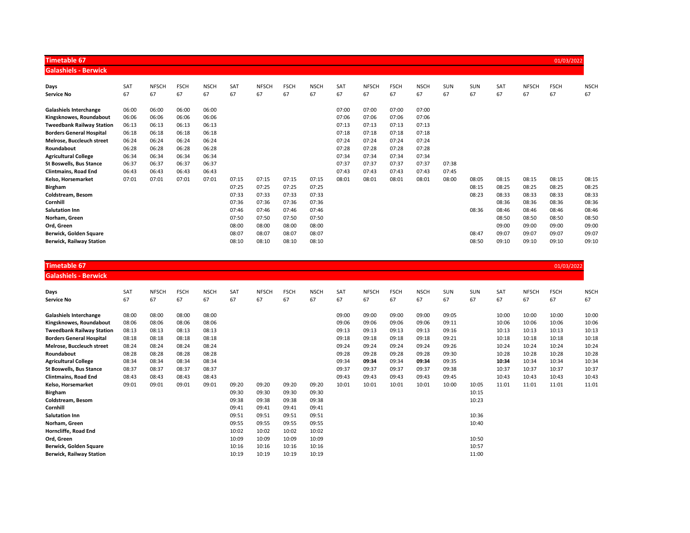| <b>Timetable 67</b>              |       |              |             |             |       |              |             |             |       |              |             |             |       |            |       |              | 01/03/2022  |             |
|----------------------------------|-------|--------------|-------------|-------------|-------|--------------|-------------|-------------|-------|--------------|-------------|-------------|-------|------------|-------|--------------|-------------|-------------|
| <b>Galashiels - Berwick</b>      |       |              |             |             |       |              |             |             |       |              |             |             |       |            |       |              |             |             |
| Days                             | SAT   | <b>NFSCH</b> | <b>FSCH</b> | <b>NSCH</b> | SAT   | <b>NFSCH</b> | <b>FSCH</b> | <b>NSCH</b> | SAT   | <b>NFSCH</b> | <b>FSCH</b> | <b>NSCH</b> | SUN   | <b>SUN</b> | SAT   | <b>NFSCH</b> | <b>FSCH</b> | <b>NSCH</b> |
| <b>Service No</b>                | 67    | 67           | 67          | 67          | 67    | 67           | 67          | 67          | 67    | 67           | 67          | 67          | 67    | 67         | 67    | 67           | 67          | 67          |
| <b>Galashiels Interchange</b>    | 06:00 | 06:00        | 06:00       | 06:00       |       |              |             |             | 07:00 | 07:00        | 07:00       | 07:00       |       |            |       |              |             |             |
| Kingsknowes, Roundabout          | 06:06 | 06:06        | 06:06       | 06:06       |       |              |             |             | 07:06 | 07:06        | 07:06       | 07:06       |       |            |       |              |             |             |
| <b>Tweedbank Railway Station</b> | 06:13 | 06:13        | 06:13       | 06:13       |       |              |             |             | 07:13 | 07:13        | 07:13       | 07:13       |       |            |       |              |             |             |
| <b>Borders General Hospital</b>  | 06:18 | 06:18        | 06:18       | 06:18       |       |              |             |             | 07:18 | 07:18        | 07:18       | 07:18       |       |            |       |              |             |             |
| Melrose, Buccleuch street        | 06:24 | 06:24        | 06:24       | 06:24       |       |              |             |             | 07:24 | 07:24        | 07:24       | 07:24       |       |            |       |              |             |             |
| Roundabout                       | 06:28 | 06:28        | 06:28       | 06:28       |       |              |             |             | 07:28 | 07:28        | 07:28       | 07:28       |       |            |       |              |             |             |
| <b>Agricultural College</b>      | 06:34 | 06:34        | 06:34       | 06:34       |       |              |             |             | 07:34 | 07:34        | 07:34       | 07:34       |       |            |       |              |             |             |
| <b>St Boswells, Bus Stance</b>   | 06:37 | 06:37        | 06:37       | 06:37       |       |              |             |             | 07:37 | 07:37        | 07:37       | 07:37       | 07:38 |            |       |              |             |             |
| <b>Clintmains, Road End</b>      | 06:43 | 06:43        | 06:43       | 06:43       |       |              |             |             | 07:43 | 07:43        | 07:43       | 07:43       | 07:45 |            |       |              |             |             |
| Kelso, Horsemarket               | 07:01 | 07:01        | 07:01       | 07:01       | 07:15 | 07:15        | 07:15       | 07:15       | 08:01 | 08:01        | 08:01       | 08:01       | 08:00 | 08:05      | 08:15 | 08:15        | 08:15       | 08:15       |
| <b>Birgham</b>                   |       |              |             |             | 07:25 | 07:25        | 07:25       | 07:25       |       |              |             |             |       | 08:15      | 08:25 | 08:25        | 08:25       | 08:25       |
| Coldstream, Besom                |       |              |             |             | 07:33 | 07:33        | 07:33       | 07:33       |       |              |             |             |       | 08:23      | 08:33 | 08:33        | 08:33       | 08:33       |
| Cornhill                         |       |              |             |             | 07:36 | 07:36        | 07:36       | 07:36       |       |              |             |             |       |            | 08:36 | 08:36        | 08:36       | 08:36       |
| <b>Salutation Inn</b>            |       |              |             |             | 07:46 | 07:46        | 07:46       | 07:46       |       |              |             |             |       | 08:36      | 08:46 | 08:46        | 08:46       | 08:46       |
| Norham. Green                    |       |              |             |             | 07:50 | 07:50        | 07:50       | 07:50       |       |              |             |             |       |            | 08:50 | 08:50        | 08:50       | 08:50       |
| Ord, Green                       |       |              |             |             | 08:00 | 08:00        | 08:00       | 08:00       |       |              |             |             |       |            | 09:00 | 09:00        | 09:00       | 09:00       |
| Berwick, Golden Square           |       |              |             |             | 08:07 | 08:07        | 08:07       | 08:07       |       |              |             |             |       | 08:47      | 09:07 | 09:07        | 09:07       | 09:07       |
| <b>Berwick, Railway Station</b>  |       |              |             |             | 08:10 | 08:10        | 08:10       | 08:10       |       |              |             |             |       | 08:50      | 09:10 | 09:10        | 09:10       | 09:10       |

| <b>Timetable 67</b>              |       |              |             |             |       |              |             |             |       |              |             |             |       |            |       |              | 01/03/2022  |             |
|----------------------------------|-------|--------------|-------------|-------------|-------|--------------|-------------|-------------|-------|--------------|-------------|-------------|-------|------------|-------|--------------|-------------|-------------|
| <b>Galashiels - Berwick</b>      |       |              |             |             |       |              |             |             |       |              |             |             |       |            |       |              |             |             |
| Days                             | SAT   | <b>NFSCH</b> | <b>FSCH</b> | <b>NSCH</b> | SAT   | <b>NFSCH</b> | <b>FSCH</b> | <b>NSCH</b> | SAT   | <b>NFSCH</b> | <b>FSCH</b> | <b>NSCH</b> | SUN   | <b>SUN</b> | SAT   | <b>NFSCH</b> | <b>FSCH</b> | <b>NSCH</b> |
| <b>Service No</b>                | 67    | 67           | 67          | 67          | 67    | 67           | 67          | 67          | 67    | 67           | 67          | 67          | 67    | 67         | 67    | 67           | 67          | 67          |
| <b>Galashiels Interchange</b>    | 08:00 | 08:00        | 08:00       | 08:00       |       |              |             |             | 09:00 | 09:00        | 09:00       | 09:00       | 09:05 |            | 10:00 | 10:00        | 10:00       | 10:00       |
| Kingsknowes, Roundabout          | 08:06 | 08:06        | 08:06       | 08:06       |       |              |             |             | 09:06 | 09:06        | 09:06       | 09:06       | 09:11 |            | 10:06 | 10:06        | 10:06       | 10:06       |
| <b>Tweedbank Railway Station</b> | 08:13 | 08:13        | 08:13       | 08:13       |       |              |             |             | 09:13 | 09:13        | 09:13       | 09:13       | 09:16 |            | 10:13 | 10:13        | 10:13       | 10:13       |
| <b>Borders General Hospital</b>  | 08:18 | 08:18        | 08:18       | 08:18       |       |              |             |             | 09:18 | 09:18        | 09:18       | 09:18       | 09:21 |            | 10:18 | 10:18        | 10:18       | 10:18       |
| Melrose, Buccleuch street        | 08:24 | 08:24        | 08:24       | 08:24       |       |              |             |             | 09:24 | 09:24        | 09:24       | 09:24       | 09:26 |            | 10:24 | 10:24        | 10:24       | 10:24       |
| Roundabout                       | 08:28 | 08:28        | 08:28       | 08:28       |       |              |             |             | 09:28 | 09:28        | 09:28       | 09:28       | 09:30 |            | 10:28 | 10:28        | 10:28       | 10:28       |
| <b>Agricultural College</b>      | 08:34 | 08:34        | 08:34       | 08:34       |       |              |             |             | 09:34 | 09:34        | 09:34       | 09:34       | 09:35 |            | 10:34 | 10:34        | 10:34       | 10:34       |
| <b>St Boswells, Bus Stance</b>   | 08:37 | 08:37        | 08:37       | 08:37       |       |              |             |             | 09:37 | 09:37        | 09:37       | 09:37       | 09:38 |            | 10:37 | 10:37        | 10:37       | 10:37       |
| <b>Clintmains, Road End</b>      | 08:43 | 08:43        | 08:43       | 08:43       |       |              |             |             | 09:43 | 09:43        | 09:43       | 09:43       | 09:45 |            | 10:43 | 10:43        | 10:43       | 10:43       |
| Kelso, Horsemarket               | 09:01 | 09:01        | 09:01       | 09:01       | 09:20 | 09:20        | 09:20       | 09:20       | 10:01 | 10:01        | 10:01       | 10:01       | 10:00 | 10:05      | 11:01 | 11:01        | 11:01       | 11:01       |
| <b>Birgham</b>                   |       |              |             |             | 09:30 | 09:30        | 09:30       | 09:30       |       |              |             |             |       | 10:15      |       |              |             |             |
| Coldstream, Besom                |       |              |             |             | 09:38 | 09:38        | 09:38       | 09:38       |       |              |             |             |       | 10:23      |       |              |             |             |
| Cornhill                         |       |              |             |             | 09:41 | 09:41        | 09:41       | 09:41       |       |              |             |             |       |            |       |              |             |             |
| <b>Salutation Inn</b>            |       |              |             |             | 09:51 | 09:51        | 09:51       | 09:51       |       |              |             |             |       | 10:36      |       |              |             |             |
| Norham, Green                    |       |              |             |             | 09:55 | 09:55        | 09:55       | 09:55       |       |              |             |             |       | 10:40      |       |              |             |             |
| Horncliffe, Road End             |       |              |             |             | 10:02 | 10:02        | 10:02       | 10:02       |       |              |             |             |       |            |       |              |             |             |
| Ord, Green                       |       |              |             |             | 10:09 | 10:09        | 10:09       | 10:09       |       |              |             |             |       | 10:50      |       |              |             |             |
| Berwick, Golden Square           |       |              |             |             | 10:16 | 10:16        | 10:16       | 10:16       |       |              |             |             |       | 10:57      |       |              |             |             |
| <b>Berwick, Railway Station</b>  |       |              |             |             | 10:19 | 10:19        | 10:19       | 10:19       |       |              |             |             |       | 11:00      |       |              |             |             |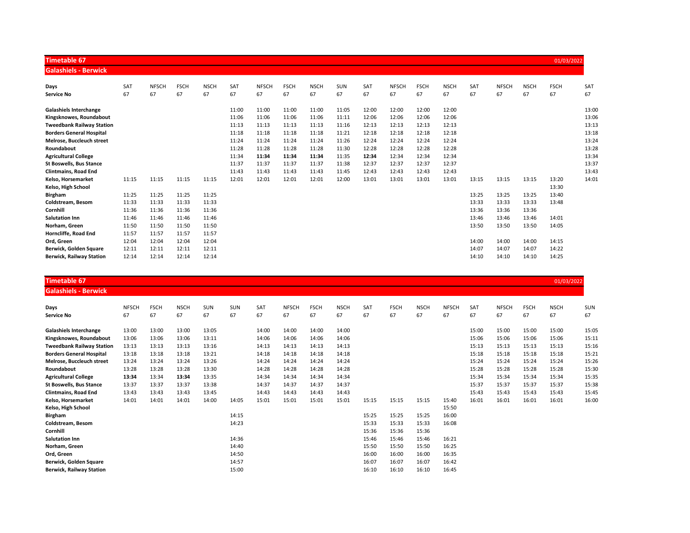| <b>Timetable 67</b>              |            |              |             |             |       |              |             |             |       |       |              |             |             |       |              |             | 01/03/2022  |       |
|----------------------------------|------------|--------------|-------------|-------------|-------|--------------|-------------|-------------|-------|-------|--------------|-------------|-------------|-------|--------------|-------------|-------------|-------|
| <b>Galashiels - Berwick</b>      |            |              |             |             |       |              |             |             |       |       |              |             |             |       |              |             |             |       |
| Days                             | <b>SAT</b> | <b>NFSCH</b> | <b>FSCH</b> | <b>NSCH</b> | SAT   | <b>NFSCH</b> | <b>FSCH</b> | <b>NSCH</b> | SUN   | SAT   | <b>NFSCH</b> | <b>FSCH</b> | <b>NSCH</b> | SAT   | <b>NFSCH</b> | <b>NSCH</b> | <b>FSCH</b> | SAT   |
| <b>Service No</b>                | 67         | 67           | 67          | 67          | 67    | 67           | 67          | 67          | 67    | 67    | 67           | 67          | 67          | 67    | 67           | 67          | 67          | 67    |
| <b>Galashiels Interchange</b>    |            |              |             |             | 11:00 | 11:00        | 11:00       | 11:00       | 11:05 | 12:00 | 12:00        | 12:00       | 12:00       |       |              |             |             | 13:00 |
| Kingsknowes, Roundabout          |            |              |             |             | 11:06 | 11:06        | 11:06       | 11:06       | 11:11 | 12:06 | 12:06        | 12:06       | 12:06       |       |              |             |             | 13:06 |
| <b>Tweedbank Railway Station</b> |            |              |             |             | 11:13 | 11:13        | 11:13       | 11:13       | 11:16 | 12:13 | 12:13        | 12:13       | 12:13       |       |              |             |             | 13:13 |
| <b>Borders General Hospital</b>  |            |              |             |             | 11:18 | 11:18        | 11:18       | 11:18       | 11:21 | 12:18 | 12:18        | 12:18       | 12:18       |       |              |             |             | 13:18 |
| Melrose, Buccleuch street        |            |              |             |             | 11:24 | 11:24        | 11:24       | 11:24       | 11:26 | 12:24 | 12:24        | 12:24       | 12:24       |       |              |             |             | 13:24 |
| Roundabout                       |            |              |             |             | 11:28 | 11:28        | 11:28       | 11:28       | 11:30 | 12:28 | 12:28        | 12:28       | 12:28       |       |              |             |             | 13:28 |
| <b>Agricultural College</b>      |            |              |             |             | 11:34 | 11:34        | 11:34       | 11:34       | 11:35 | 12:34 | 12:34        | 12:34       | 12:34       |       |              |             |             | 13:34 |
| <b>St Boswells, Bus Stance</b>   |            |              |             |             | 11:37 | 11:37        | 11:37       | 11:37       | 11:38 | 12:37 | 12:37        | 12:37       | 12:37       |       |              |             |             | 13:37 |
| <b>Clintmains, Road End</b>      |            |              |             |             | 11:43 | 11:43        | 11:43       | 11:43       | 11:45 | 12:43 | 12:43        | 12:43       | 12:43       |       |              |             |             | 13:43 |
| Kelso, Horsemarket               | 11:15      | 11:15        | 11:15       | 11:15       | 12:01 | 12:01        | 12:01       | 12:01       | 12:00 | 13:01 | 13:01        | 13:01       | 13:01       | 13:15 | 13:15        | 13:15       | 13:20       | 14:01 |
| Kelso, High School               |            |              |             |             |       |              |             |             |       |       |              |             |             |       |              |             | 13:30       |       |
| <b>Birgham</b>                   | 11:25      | 11:25        | 11:25       | 11:25       |       |              |             |             |       |       |              |             |             | 13:25 | 13:25        | 13:25       | 13:40       |       |
| Coldstream, Besom                | 11:33      | 11:33        | 11:33       | 11:33       |       |              |             |             |       |       |              |             |             | 13:33 | 13:33        | 13:33       | 13:48       |       |
| Cornhill                         | 11:36      | 11:36        | 11:36       | 11:36       |       |              |             |             |       |       |              |             |             | 13:36 | 13:36        | 13:36       |             |       |
| <b>Salutation Inn</b>            | 11:46      | 11:46        | 11:46       | 11:46       |       |              |             |             |       |       |              |             |             | 13:46 | 13:46        | 13:46       | 14:01       |       |
| Norham, Green                    | 11:50      | 11:50        | 11:50       | 11:50       |       |              |             |             |       |       |              |             |             | 13:50 | 13:50        | 13:50       | 14:05       |       |
| Horncliffe, Road End             | 11:57      | 11:57        | 11:57       | 11:57       |       |              |             |             |       |       |              |             |             |       |              |             |             |       |
| Ord, Green                       | 12:04      | 12:04        | 12:04       | 12:04       |       |              |             |             |       |       |              |             |             | 14:00 | 14:00        | 14:00       | 14:15       |       |
| Berwick, Golden Square           | 12:11      | 12:11        | 12:11       | 12:11       |       |              |             |             |       |       |              |             |             | 14:07 | 14:07        | 14:07       | 14:22       |       |
| <b>Berwick, Railway Station</b>  | 12:14      | 12:14        | 12:14       | 12:14       |       |              |             |             |       |       |              |             |             | 14:10 | 14:10        | 14:10       | 14:25       |       |

## Timetable 67  $\,$  01/03/2022  $\,$  01/03/2022  $\,$  01/03/2022  $\,$  01/03/2022  $\,$  01/03/2022  $\,$  01/03/2022  $\,$  01/03/2022  $\,$  01/03/2022  $\,$  01/03/2022  $\,$  01/03/2022  $\,$  01/03/2022  $\,$  01/03/2022  $\,$  01/03/2022

Galashiels - Berwick

| Days                             | <b>NFSCH</b> | <b>FSCH</b> | <b>NSCH</b> | <b>SUN</b> | SUN   | SAT   | <b>NFSCH</b> | <b>FSCH</b> | <b>NSCH</b> | SAT   | <b>FSCH</b> | <b>NSCH</b> | <b>NFSCH</b> | <b>SAT</b> | <b>NFSCH</b> | <b>FSCH</b> | <b>NSCH</b> | SUN   |
|----------------------------------|--------------|-------------|-------------|------------|-------|-------|--------------|-------------|-------------|-------|-------------|-------------|--------------|------------|--------------|-------------|-------------|-------|
| Service No                       | 67           | 67          | 67          | 67         | 67    | 67    | 67           | 67          | 67          | 67    | 67          | 67          | 67           | 67         | 67           | 67          | 67          | 67    |
| <b>Galashiels Interchange</b>    | 13:00        | 13:00       | 13:00       | 13:05      |       | 14:00 | 14:00        | 14:00       | 14:00       |       |             |             |              | 15:00      | 15:00        | 15:00       | 15:00       | 15:05 |
| Kingsknowes, Roundabout          | 13:06        | 13:06       | 13:06       | 13:11      |       | 14:06 | 14:06        | 14:06       | 14:06       |       |             |             |              | 15:06      | 15:06        | 15:06       | 15:06       | 15:11 |
| <b>Tweedbank Railway Station</b> | 13:13        | 13:13       | 13:13       | 13:16      |       | 14:13 | 14:13        | 14:13       | 14:13       |       |             |             |              | 15:13      | 15:13        | 15:13       | 15:13       | 15:16 |
| <b>Borders General Hospital</b>  | 13:18        | 13:18       | 13:18       | 13:21      |       | 14:18 | 14:18        | 14:18       | 14:18       |       |             |             |              | 15:18      | 15:18        | 15:18       | 15:18       | 15:21 |
| Melrose, Buccleuch street        | 13:24        | 13:24       | 13:24       | 13:26      |       | 14:24 | 14:24        | 14:24       | 14:24       |       |             |             |              | 15:24      | 15:24        | 15:24       | 15:24       | 15:26 |
| Roundabout                       | 13:28        | 13:28       | 13:28       | 13:30      |       | 14:28 | 14:28        | 14:28       | 14:28       |       |             |             |              | 15:28      | 15:28        | 15:28       | 15:28       | 15:30 |
| <b>Agricultural College</b>      | 13:34        | 13:34       | 13:34       | 13:35      |       | 14:34 | 14:34        | 14:34       | 14:34       |       |             |             |              | 15:34      | 15:34        | 15:34       | 15:34       | 15:35 |
| <b>St Boswells, Bus Stance</b>   | 13:37        | 13:37       | 13:37       | 13:38      |       | 14:37 | 14:37        | 14:37       | 14:37       |       |             |             |              | 15:37      | 15:37        | 15:37       | 15:37       | 15:38 |
| <b>Clintmains, Road End</b>      | 13:43        | 13:43       | 13:43       | 13:45      |       | 14:43 | 14:43        | 14:43       | 14:43       |       |             |             |              | 15:43      | 15:43        | 15:43       | 15:43       | 15:45 |
| Kelso, Horsemarket               | 14:01        | 14:01       | 14:01       | 14:00      | 14:05 | 15:01 | 15:01        | 15:01       | 15:01       | 15:15 | 15:15       | 15:15       | 15:40        | 16:01      | 16:01        | 16:01       | 16:01       | 16:00 |
| Kelso, High School               |              |             |             |            |       |       |              |             |             |       |             |             | 15:50        |            |              |             |             |       |
| Birgham                          |              |             |             |            | 14:15 |       |              |             |             | 15:25 | 15:25       | 15:25       | 16:00        |            |              |             |             |       |
| Coldstream, Besom                |              |             |             |            | 14:23 |       |              |             |             | 15:33 | 15:33       | 15:33       | 16:08        |            |              |             |             |       |
| Cornhill                         |              |             |             |            |       |       |              |             |             | 15:36 | 15:36       | 15:36       |              |            |              |             |             |       |
| <b>Salutation Inn</b>            |              |             |             |            | 14:36 |       |              |             |             | 15:46 | 15:46       | 15:46       | 16:21        |            |              |             |             |       |
| Norham, Green                    |              |             |             |            | 14:40 |       |              |             |             | 15:50 | 15:50       | 15:50       | 16:25        |            |              |             |             |       |
| Ord, Green                       |              |             |             |            | 14:50 |       |              |             |             | 16:00 | 16:00       | 16:00       | 16:35        |            |              |             |             |       |
| Berwick, Golden Square           |              |             |             |            | 14:57 |       |              |             |             | 16:07 | 16:07       | 16:07       | 16:42        |            |              |             |             |       |
| <b>Berwick, Railway Station</b>  |              |             |             |            | 15:00 |       |              |             |             | 16:10 | 16:10       | 16:10       | 16:45        |            |              |             |             |       |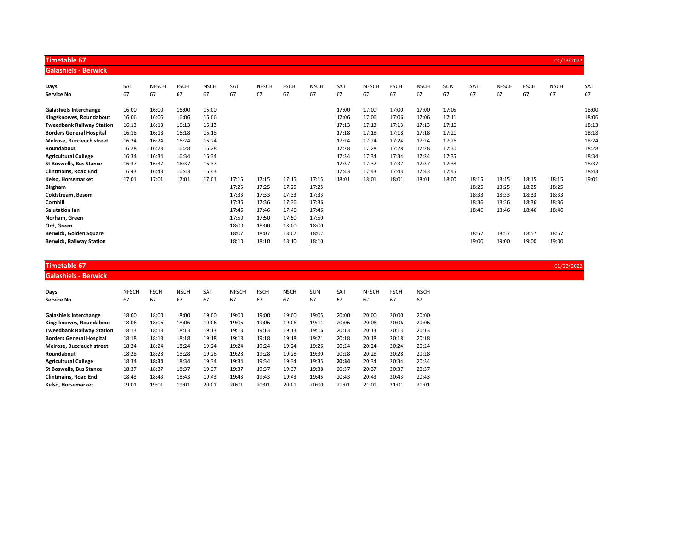| <b>Timetable 67</b>              |       |              |             |             |       |              |             |             |       |              |             |             |       |       |              |             | 01/03/2022  |       |
|----------------------------------|-------|--------------|-------------|-------------|-------|--------------|-------------|-------------|-------|--------------|-------------|-------------|-------|-------|--------------|-------------|-------------|-------|
| <b>Galashiels - Berwick</b>      |       |              |             |             |       |              |             |             |       |              |             |             |       |       |              |             |             |       |
| Days                             | SAT   | <b>NFSCH</b> | <b>FSCH</b> | <b>NSCH</b> | SAT   | <b>NFSCH</b> | <b>FSCH</b> | <b>NSCH</b> | SAT   | <b>NFSCH</b> | <b>FSCH</b> | <b>NSCH</b> | SUN   | SAT   | <b>NFSCH</b> | <b>FSCH</b> | <b>NSCH</b> | SAT   |
| <b>Service No</b>                | 67    | 67           | 67          | 67          | 67    | 67           | 67          | 67          | 67    | 67           | 67          | 67          | 67    | 67    | 67           | 67          | 67          | 67    |
| <b>Galashiels Interchange</b>    | 16:00 | 16:00        | 16:00       | 16:00       |       |              |             |             | 17:00 | 17:00        | 17:00       | 17:00       | 17:05 |       |              |             |             | 18:00 |
| Kingsknowes, Roundabout          | 16:06 | 16:06        | 16:06       | 16:06       |       |              |             |             | 17:06 | 17:06        | 17:06       | 17:06       | 17:11 |       |              |             |             | 18:06 |
| <b>Tweedbank Railway Station</b> | 16:13 | 16:13        | 16:13       | 16:13       |       |              |             |             | 17:13 | 17:13        | 17:13       | 17:13       | 17:16 |       |              |             |             | 18:13 |
| <b>Borders General Hospital</b>  | 16:18 | 16:18        | 16:18       | 16:18       |       |              |             |             | 17:18 | 17:18        | 17:18       | 17:18       | 17:21 |       |              |             |             | 18:18 |
| Melrose, Buccleuch street        | 16:24 | 16:24        | 16:24       | 16:24       |       |              |             |             | 17:24 | 17:24        | 17:24       | 17:24       | 17:26 |       |              |             |             | 18:24 |
| Roundabout                       | 16:28 | 16:28        | 16:28       | 16:28       |       |              |             |             | 17:28 | 17:28        | 17:28       | 17:28       | 17:30 |       |              |             |             | 18:28 |
| <b>Agricultural College</b>      | 16:34 | 16:34        | 16:34       | 16:34       |       |              |             |             | 17:34 | 17:34        | 17:34       | 17:34       | 17:35 |       |              |             |             | 18:34 |
| <b>St Boswells, Bus Stance</b>   | 16:37 | 16:37        | 16:37       | 16:37       |       |              |             |             | 17:37 | 17:37        | 17:37       | 17:37       | 17:38 |       |              |             |             | 18:37 |
| <b>Clintmains, Road End</b>      | 16:43 | 16:43        | 16:43       | 16:43       |       |              |             |             | 17:43 | 17:43        | 17:43       | 17:43       | 17:45 |       |              |             |             | 18:43 |
| Kelso, Horsemarket               | 17:01 | 17:01        | 17:01       | 17:01       | 17:15 | 17:15        | 17:15       | 17:15       | 18:01 | 18:01        | 18:01       | 18:01       | 18:00 | 18:15 | 18:15        | 18:15       | 18:15       | 19:01 |
| <b>Birgham</b>                   |       |              |             |             | 17:25 | 17:25        | 17:25       | 17:25       |       |              |             |             |       | 18:25 | 18:25        | 18:25       | 18:25       |       |
| Coldstream, Besom                |       |              |             |             | 17:33 | 17:33        | 17:33       | 17:33       |       |              |             |             |       | 18:33 | 18:33        | 18:33       | 18:33       |       |
| Cornhill                         |       |              |             |             | 17:36 | 17:36        | 17:36       | 17:36       |       |              |             |             |       | 18:36 | 18:36        | 18:36       | 18:36       |       |
| <b>Salutation Inn</b>            |       |              |             |             | 17:46 | 17:46        | 17:46       | 17:46       |       |              |             |             |       | 18:46 | 18:46        | 18:46       | 18:46       |       |
| Norham, Green                    |       |              |             |             | 17:50 | 17:50        | 17:50       | 17:50       |       |              |             |             |       |       |              |             |             |       |
| Ord, Green                       |       |              |             |             | 18:00 | 18:00        | 18:00       | 18:00       |       |              |             |             |       |       |              |             |             |       |
| Berwick, Golden Square           |       |              |             |             | 18:07 | 18:07        | 18:07       | 18:07       |       |              |             |             |       | 18:57 | 18:57        | 18:57       | 18:57       |       |
| <b>Berwick, Railway Station</b>  |       |              |             |             | 18:10 | 18:10        | 18:10       | 18:10       |       |              |             |             |       | 19:00 | 19:00        | 19:00       | 19:00       |       |

| Timetable 67                | 01/03/2022 |
|-----------------------------|------------|
| <b>Galashiels - Berwick</b> |            |

| Days<br>Service No               | <b>NFSCH</b><br>67 | <b>FSCH</b><br>67 | <b>NSCH</b><br>67 | SAT<br>67 | <b>NFSCH</b><br>67 | <b>FSCH</b><br>67 | <b>NSCH</b><br>67 | <b>SUN</b><br>67 | SAT<br>67 | <b>NFSCH</b><br>67 | <b>FSCH</b><br>67 | <b>NSCH</b><br>67 |
|----------------------------------|--------------------|-------------------|-------------------|-----------|--------------------|-------------------|-------------------|------------------|-----------|--------------------|-------------------|-------------------|
| <b>Galashiels Interchange</b>    | 18:00              | 18:00             | 18:00             | 19:00     | 19:00              | 19:00             | 19:00             | 19:05            | 20:00     | 20:00              | 20:00             | 20:00             |
| Kingsknowes, Roundabout          | 18:06              | 18:06             | 18:06             | 19:06     | 19:06              | 19:06             | 19:06             | 19:11            | 20:06     | 20:06              | 20:06             | 20:06             |
| <b>Tweedbank Railway Station</b> | 18:13              | 18:13             | 18:13             | 19:13     | 19:13              | 19:13             | 19:13             | 19:16            | 20:13     | 20:13              | 20:13             | 20:13             |
| <b>Borders General Hospital</b>  | 18:18              | 18:18             | 18:18             | 19:18     | 19:18              | 19:18             | 19:18             | 19:21            | 20:18     | 20:18              | 20:18             | 20:18             |
| Melrose. Buccleuch street        | 18:24              | 18:24             | 18:24             | 19:24     | 19:24              | 19:24             | 19:24             | 19:26            | 20:24     | 20:24              | 20:24             | 20:24             |
| Roundabout                       | 18:28              | 18:28             | 18:28             | 19:28     | 19:28              | 19:28             | 19:28             | 19:30            | 20:28     | 20:28              | 20:28             | 20:28             |
| <b>Agricultural College</b>      | 18:34              | 18:34             | 18:34             | 19:34     | 19:34              | 19:34             | 19:34             | 19:35            | 20:34     | 20:34              | 20:34             | 20:34             |
| <b>St Boswells, Bus Stance</b>   | 18:37              | 18:37             | 18:37             | 19:37     | 19:37              | 19:37             | 19:37             | 19:38            | 20:37     | 20:37              | 20:37             | 20:37             |
| <b>Clintmains, Road End</b>      | 18:43              | 18:43             | 18:43             | 19:43     | 19:43              | 19:43             | 19:43             | 19:45            | 20:43     | 20:43              | 20:43             | 20:43             |
| Kelso. Horsemarket               | 19:01              | 19:01             | 19:01             | 20:01     | 20:01              | 20:01             | 20:01             | 20:00            | 21:01     | 21:01              | 21:01             | 21:01             |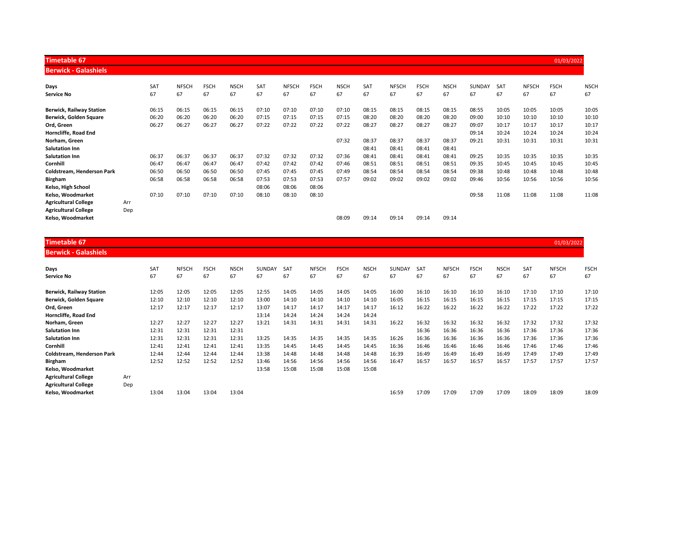| Timetable 67                    |     |       |              |             |             |       |              |             |             |       |              |             |             |               |       |              | 01/03/2022  |             |
|---------------------------------|-----|-------|--------------|-------------|-------------|-------|--------------|-------------|-------------|-------|--------------|-------------|-------------|---------------|-------|--------------|-------------|-------------|
| <b>Berwick - Galashiels</b>     |     |       |              |             |             |       |              |             |             |       |              |             |             |               |       |              |             |             |
| Days                            |     | SAT   | <b>NFSCH</b> | <b>FSCH</b> | <b>NSCH</b> | SAT   | <b>NFSCH</b> | <b>FSCH</b> | <b>NSCH</b> | SAT   | <b>NFSCH</b> | <b>FSCH</b> | <b>NSCH</b> | <b>SUNDAY</b> | SAT   | <b>NFSCH</b> | <b>FSCH</b> | <b>NSCH</b> |
| <b>Service No</b>               |     | 67    | 67           | 67          | 67          | 67    | 67           | 67          | 67          | 67    | 67           | 67          | 67          | 67            | 67    | 67           | 67          | 67          |
| <b>Berwick, Railway Station</b> |     | 06:15 | 06:15        | 06:15       | 06:15       | 07:10 | 07:10        | 07:10       | 07:10       | 08:15 | 08:15        | 08:15       | 08:15       | 08:55         | 10:05 | 10:05        | 10:05       | 10:05       |
| Berwick, Golden Square          |     | 06:20 | 06:20        | 06:20       | 06:20       | 07:15 | 07:15        | 07:15       | 07:15       | 08:20 | 08:20        | 08:20       | 08:20       | 09:00         | 10:10 | 10:10        | 10:10       | 10:10       |
| Ord, Green                      |     | 06:27 | 06:27        | 06:27       | 06:27       | 07:22 | 07:22        | 07:22       | 07:22       | 08:27 | 08:27        | 08:27       | 08:27       | 09:07         | 10:17 | 10:17        | 10:17       | 10:17       |
| Horncliffe, Road End            |     |       |              |             |             |       |              |             |             |       |              |             |             | 09:14         | 10:24 | 10:24        | 10:24       | 10:24       |
| Norham, Green                   |     |       |              |             |             |       |              |             | 07:32       | 08:37 | 08:37        | 08:37       | 08:37       | 09:21         | 10:31 | 10:31        | 10:31       | 10:31       |
| <b>Salutation Inn</b>           |     |       |              |             |             |       |              |             |             | 08:41 | 08:41        | 08:41       | 08:41       |               |       |              |             |             |
| <b>Salutation Inn</b>           |     | 06:37 | 06:37        | 06:37       | 06:37       | 07:32 | 07:32        | 07:32       | 07:36       | 08:41 | 08:41        | 08:41       | 08:41       | 09:25         | 10:35 | 10:35        | 10:35       | 10:35       |
| Cornhill                        |     | 06:47 | 06:47        | 06:47       | 06:47       | 07:42 | 07:42        | 07:42       | 07:46       | 08:51 | 08:51        | 08:51       | 08:51       | 09:35         | 10:45 | 10:45        | 10:45       | 10:45       |
| Coldstream, Henderson Park      |     | 06:50 | 06:50        | 06:50       | 06:50       | 07:45 | 07:45        | 07:45       | 07:49       | 08:54 | 08:54        | 08:54       | 08:54       | 09:38         | 10:48 | 10:48        | 10:48       | 10:48       |
| <b>Birgham</b>                  |     | 06:58 | 06:58        | 06:58       | 06:58       | 07:53 | 07:53        | 07:53       | 07:57       | 09:02 | 09:02        | 09:02       | 09:02       | 09:46         | 10:56 | 10:56        | 10:56       | 10:56       |
| Kelso, High School              |     |       |              |             |             | 08:06 | 08:06        | 08:06       |             |       |              |             |             |               |       |              |             |             |
| Kelso, Woodmarket               |     | 07:10 | 07:10        | 07:10       | 07:10       | 08:10 | 08:10        | 08:10       |             |       |              |             |             | 09:58         | 11:08 | 11:08        | 11:08       | 11:08       |
| <b>Agricultural College</b>     | Arr |       |              |             |             |       |              |             |             |       |              |             |             |               |       |              |             |             |
| <b>Agricultural College</b>     | Dep |       |              |             |             |       |              |             |             |       |              |             |             |               |       |              |             |             |
| Kelso, Woodmarket               |     |       |              |             |             |       |              |             | 08:09       | 09:14 | 09:14        | 09:14       | 09:14       |               |       |              |             |             |

| Timetable 67              | 01/03/2022 |
|---------------------------|------------|
| <b>Dominic Colochiale</b> |            |

| <b>Berwick - Galashiels</b>       |     |                 |              |             |             |               |       |              |             |             |        |            |              |             |             |            |              |             |
|-----------------------------------|-----|-----------------|--------------|-------------|-------------|---------------|-------|--------------|-------------|-------------|--------|------------|--------------|-------------|-------------|------------|--------------|-------------|
| Days                              |     | SA <sub>1</sub> | <b>NFSCH</b> | <b>FSCH</b> | <b>NSCH</b> | <b>SUNDAY</b> | SAT   | <b>NFSCH</b> | <b>FSCH</b> | <b>NSCH</b> | SUNDAY | <b>SAT</b> | <b>NFSCH</b> | <b>FSCH</b> | <b>NSCH</b> | <b>SAT</b> | <b>NFSCH</b> | <b>FSCH</b> |
| <b>Service No</b>                 |     | 67              | 67           | 67          | 67          | 67            | 67    | 67           | 67          | 67          | 67     | 67         | 67           | 67          | 67          | 67         | 67           | 67          |
| <b>Berwick, Railway Station</b>   |     | 12:05           | 12:05        | 12:05       | 12:05       | 12:55         | 14:05 | 14:05        | 14:05       | 14:05       | 16:00  | 16:10      | 16:10        | 16:10       | 16:10       | 17:10      | 17:10        | 17:10       |
| Berwick, Golden Square            |     | 12:10           | 12:10        | 12:10       | 12:10       | 13:00         | 14:10 | 14:10        | 14:10       | 14:10       | 16:05  | 16:15      | 16:15        | 16:15       | 16:15       | 17:15      | 17:15        | 17:15       |
| Ord, Green                        |     | 12:17           | 12:17        | 12:17       | 12:17       | 13:07         | 14:17 | 14:17        | 14:17       | 14:17       | 16:12  | 16:22      | 16:22        | 16:22       | 16:22       | 17:22      | 17:22        | 17:22       |
| Horncliffe, Road End              |     |                 |              |             |             | 13:14         | 14:24 | 14:24        | 14:24       | 14:24       |        |            |              |             |             |            |              |             |
| Norham, Green                     |     | 12:27           | 12:27        | 12:27       | 12:27       | 13:21         | 14:31 | 14:31        | 14:31       | 14:31       | 16:22  | 16:32      | 16:32        | 16:32       | 16:32       | 17:32      | 17:32        | 17:32       |
| <b>Salutation Inn</b>             |     | 12:31           | 12:31        | 12:31       | 12:31       |               |       |              |             |             |        | 16:36      | 16:36        | 16:36       | 16:36       | 17:36      | 17:36        | 17:36       |
| <b>Salutation Inn</b>             |     | 12:31           | 12:31        | 12:31       | 12:31       | 13:25         | 14:35 | 14:35        | 14:35       | 14:35       | 16:26  | 16:36      | 16:36        | 16:36       | 16:36       | 17:36      | 17:36        | 17:36       |
| Cornhill                          |     | 12:41           | 12:41        | 12:41       | 12:41       | 13:35         | 14:45 | 14:45        | 14:45       | 14:45       | 16:36  | 16:46      | 16:46        | 16:46       | 16:46       | 17:46      | 17:46        | 17:46       |
| <b>Coldstream. Henderson Park</b> |     | 12:44           | 12:44        | 12:44       | 12:44       | 13:38         | 14:48 | 14:48        | 14:48       | 14:48       | 16:39  | 16:49      | 16:49        | 16:49       | 16:49       | 17:49      | 17:49        | 17:49       |
| <b>Birgham</b>                    |     | 12:52           | 12:52        | 12:52       | 12:52       | 13:46         | 14:56 | 14:56        | 14:56       | 14:56       | 16:47  | 16:57      | 16:57        | 16:57       | 16:57       | 17:57      | 17:57        | 17:57       |
| Kelso, Woodmarket                 |     |                 |              |             |             | 13:58         | 15:08 | 15:08        | 15:08       | 15:08       |        |            |              |             |             |            |              |             |
| <b>Agricultural College</b>       | Arr |                 |              |             |             |               |       |              |             |             |        |            |              |             |             |            |              |             |
| <b>Agricultural College</b>       | Dep |                 |              |             |             |               |       |              |             |             |        |            |              |             |             |            |              |             |
| Kelso. Woodmarket                 |     | 13:04           | 13:04        | 13:04       | 13:04       |               |       |              |             |             | 16:59  | 17:09      | 17:09        | 17:09       | 17:09       | 18:09      | 18:09        | 18:09       |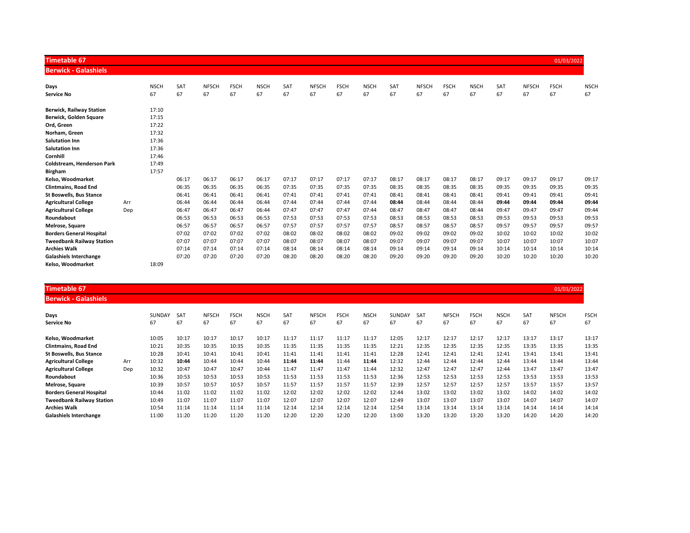| <b>Timetable 67</b>              |     |             |       |              |             |             |       |              |             |             |            |              |             |             |       |              | 01/03/2022  |             |
|----------------------------------|-----|-------------|-------|--------------|-------------|-------------|-------|--------------|-------------|-------------|------------|--------------|-------------|-------------|-------|--------------|-------------|-------------|
| <b>Berwick - Galashiels</b>      |     |             |       |              |             |             |       |              |             |             |            |              |             |             |       |              |             |             |
| Days                             |     | <b>NSCH</b> | SAT   | <b>NFSCH</b> | <b>FSCH</b> | <b>NSCH</b> | SAT   | <b>NFSCH</b> | <b>FSCH</b> | <b>NSCH</b> | <b>SAT</b> | <b>NFSCH</b> | <b>FSCH</b> | <b>NSCH</b> | SAT   | <b>NFSCH</b> | <b>FSCH</b> | <b>NSCH</b> |
| <b>Service No</b>                |     | 67          | 67    | 67           | 67          | 67          | 67    | 67           | 67          | 67          | 67         | 67           | 67          | 67          | 67    | 67           | 67          | 67          |
| <b>Berwick, Railway Station</b>  |     | 17:10       |       |              |             |             |       |              |             |             |            |              |             |             |       |              |             |             |
| Berwick, Golden Square           |     | 17:15       |       |              |             |             |       |              |             |             |            |              |             |             |       |              |             |             |
| Ord, Green                       |     | 17:22       |       |              |             |             |       |              |             |             |            |              |             |             |       |              |             |             |
| Norham, Green                    |     | 17:32       |       |              |             |             |       |              |             |             |            |              |             |             |       |              |             |             |
| <b>Salutation Inn</b>            |     | 17:36       |       |              |             |             |       |              |             |             |            |              |             |             |       |              |             |             |
| <b>Salutation Inn</b>            |     | 17:36       |       |              |             |             |       |              |             |             |            |              |             |             |       |              |             |             |
| Cornhill                         |     | 17:46       |       |              |             |             |       |              |             |             |            |              |             |             |       |              |             |             |
| Coldstream, Henderson Park       |     | 17:49       |       |              |             |             |       |              |             |             |            |              |             |             |       |              |             |             |
| <b>Birgham</b>                   |     | 17:57       |       |              |             |             |       |              |             |             |            |              |             |             |       |              |             |             |
| Kelso, Woodmarket                |     |             | 06:17 | 06:17        | 06:17       | 06:17       | 07:17 | 07:17        | 07:17       | 07:17       | 08:17      | 08:17        | 08:17       | 08:17       | 09:17 | 09:17        | 09:17       | 09:17       |
| <b>Clintmains, Road End</b>      |     |             | 06:35 | 06:35        | 06:35       | 06:35       | 07:35 | 07:35        | 07:35       | 07:35       | 08:35      | 08:35        | 08:35       | 08:35       | 09:35 | 09:35        | 09:35       | 09:35       |
| <b>St Boswells, Bus Stance</b>   |     |             | 06:41 | 06:41        | 06:41       | 06:41       | 07:41 | 07:41        | 07:41       | 07:41       | 08:41      | 08:41        | 08:41       | 08:41       | 09:41 | 09:41        | 09:41       | 09:41       |
| <b>Agricultural College</b>      | Arr |             | 06:44 | 06:44        | 06:44       | 06:44       | 07:44 | 07:44        | 07:44       | 07:44       | 08:44      | 08:44        | 08:44       | 08:44       | 09:44 | 09:44        | 09:44       | 09:44       |
| <b>Agricultural College</b>      | Dep |             | 06:47 | 06:47        | 06:47       | 06:44       | 07:47 | 07:47        | 07:47       | 07:44       | 08:47      | 08:47        | 08:47       | 08:44       | 09:47 | 09:47        | 09:47       | 09:44       |
| Roundabout                       |     |             | 06:53 | 06:53        | 06:53       | 06:53       | 07:53 | 07:53        | 07:53       | 07:53       | 08:53      | 08:53        | 08:53       | 08:53       | 09:53 | 09:53        | 09:53       | 09:53       |
| Melrose, Square                  |     |             | 06:57 | 06:57        | 06:57       | 06:57       | 07:57 | 07:57        | 07:57       | 07:57       | 08:57      | 08:57        | 08:57       | 08:57       | 09:57 | 09:57        | 09:57       | 09:57       |
| <b>Borders General Hospital</b>  |     |             | 07:02 | 07:02        | 07:02       | 07:02       | 08:02 | 08:02        | 08:02       | 08:02       | 09:02      | 09:02        | 09:02       | 09:02       | 10:02 | 10:02        | 10:02       | 10:02       |
| <b>Tweedbank Railway Station</b> |     |             | 07:07 | 07:07        | 07:07       | 07:07       | 08:07 | 08:07        | 08:07       | 08:07       | 09:07      | 09:07        | 09:07       | 09:07       | 10:07 | 10:07        | 10:07       | 10:07       |
| <b>Archies Walk</b>              |     |             | 07:14 | 07:14        | 07:14       | 07:14       | 08:14 | 08:14        | 08:14       | 08:14       | 09:14      | 09:14        | 09:14       | 09:14       | 10:14 | 10:14        | 10:14       | 10:14       |
| <b>Galashiels Interchange</b>    |     |             | 07:20 | 07:20        | 07:20       | 07:20       | 08:20 | 08:20        | 08:20       | 08:20       | 09:20      | 09:20        | 09:20       | 09:20       | 10:20 | 10:20        | 10:20       | 10:20       |
| Kelso. Woodmarket                |     | 18:09       |       |              |             |             |       |              |             |             |            |              |             |             |       |              |             |             |

| <b>Timetable 67</b>              |     |               |            |              |             |             |       |              |             |             |        |            |              |             |             |       | 01/03/2022   |             |
|----------------------------------|-----|---------------|------------|--------------|-------------|-------------|-------|--------------|-------------|-------------|--------|------------|--------------|-------------|-------------|-------|--------------|-------------|
| <b>Berwick - Galashiels</b>      |     |               |            |              |             |             |       |              |             |             |        |            |              |             |             |       |              |             |
| Days                             |     | <b>SUNDAY</b> | <b>SAT</b> | <b>NFSCH</b> | <b>FSCH</b> | <b>NSCH</b> | SAT   | <b>NFSCH</b> | <b>FSCH</b> | <b>NSCH</b> | SUNDAY | <b>SAT</b> | <b>NFSCH</b> | <b>FSCH</b> | <b>NSCH</b> | SAT   | <b>NFSCH</b> | <b>FSCH</b> |
| <b>Service No</b>                |     | 67            | 67         | 67           | 67          | 67          | 67    | 67           | 67          | 67          | 67     | 67         | 67           | 67          | 67          | 67    | 67           | 67          |
| Kelso. Woodmarket                |     | 10:05         | 10:17      | 10:17        | 10:17       | 10:17       | 11:17 | 11:17        | 11:17       | 11:17       | 12:05  | 12:17      | 12:17        | 12:17       | 12:17       | 13:17 | 13:17        | 13:17       |
| <b>Clintmains, Road End</b>      |     | 10:21         | 10:35      | 10:35        | 10:35       | 10:35       | 11:35 | 11:35        | 11:35       | 11:35       | 12:21  | 12:35      | 12:35        | 12:35       | 12:35       | 13:35 | 13:35        | 13:35       |
| <b>St Boswells, Bus Stance</b>   |     | 10:28         | 10:41      | 10:41        | 10:41       | 10:41       | 11:41 | 11:41        | 11:41       | 11:41       | 12:28  | 12:41      | 12:41        | 12:41       | 12:41       | 13:41 | 13:41        | 13:41       |
| <b>Agricultural College</b>      | Arr | 10:32         | 10:44      | 10:44        | 10:44       | 10:44       | 11:44 | 11:44        | 11:44       | 11:44       | 12:32  | 12:44      | 12:44        | 12:44       | 12:44       | 13:44 | 13:44        | 13:44       |
| <b>Agricultural College</b>      | Dep | 10:32         | 10:47      | 10:47        | 10:47       | 10:44       | 11:47 | 11:47        | 11:47       | 11:44       | 12:32  | 12:47      | 12:47        | 12:47       | 12:44       | 13:47 | 13:47        | 13:47       |
| Roundabout                       |     | 10:36         | 10:53      | 10:53        | 10:53       | 10:53       | 11:53 | 11:53        | 11:53       | 11:53       | 12:36  | 12:53      | 12:53        | 12:53       | 12:53       | 13:53 | 13:53        | 13:53       |
| Melrose, Square                  |     | 10:39         | 10:57      | 10:57        | 10:57       | 10:57       | 11:57 | 11:57        | 11:57       | 11:57       | 12:39  | 12:57      | 12:57        | 12:57       | 12:57       | 13:57 | 13:57        | 13:57       |
| <b>Borders General Hospital</b>  |     | 10:44         | 11:02      | 11:02        | 11:02       | 11:02       | 12:02 | 12:02        | 12:02       | 12:02       | 12:44  | 13:02      | 13:02        | 13:02       | 13:02       | 14:02 | 14:02        | 14:02       |
| <b>Tweedbank Railway Station</b> |     | 10:49         | 11:07      | 11:07        | 11:07       | 11:07       | 12:07 | 12:07        | 12:07       | 12:07       | 12:49  | 13:07      | 13:07        | 13:07       | 13:07       | 14:07 | 14:07        | 14:07       |
| <b>Archies Walk</b>              |     | 10:54         | 11:14      | 11:14        | 11:14       | 11:14       | 12:14 | 12:14        | 12:14       | 12:14       | 12:54  | 13:14      | 13:14        | 13:14       | 13:14       | 14:14 | 14:14        | 14:14       |
| <b>Galashiels Interchange</b>    |     | 11:00         | 11:20      | 11:20        | 11:20       | 11:20       | 12:20 | 12:20        | 12:20       | 12:20       | 13:00  | 13:20      | 13:20        | 13:20       | 13:20       | 14:20 | 14:20        | 14:20       |
|                                  |     |               |            |              |             |             |       |              |             |             |        |            |              |             |             |       |              |             |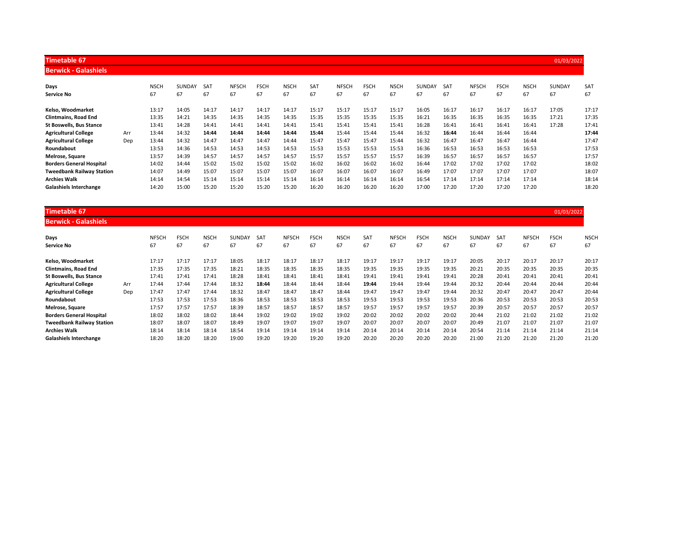| <b>Timetable 67</b>              |     |             |        |            |              |             |             |       |              |             |             |        |       |              |             |             | 01/03/2022 |       |
|----------------------------------|-----|-------------|--------|------------|--------------|-------------|-------------|-------|--------------|-------------|-------------|--------|-------|--------------|-------------|-------------|------------|-------|
| <b>Berwick - Galashiels</b>      |     |             |        |            |              |             |             |       |              |             |             |        |       |              |             |             |            |       |
| Days                             |     | <b>NSCH</b> | SUNDAY | <b>SAT</b> | <b>NFSCH</b> | <b>FSCH</b> | <b>NSCH</b> | SAT   | <b>NFSCH</b> | <b>FSCH</b> | <b>NSCH</b> | SUNDAY | SAT   | <b>NFSCH</b> | <b>FSCH</b> | <b>NSCH</b> | SUNDAY     | SAT   |
| <b>Service No</b>                |     | 67          | 67     | 67         | 67           | 67          | 67          | 67    | 67           | 67          | 67          | 67     | 67    | 67           | 67          | 67          | 67         | 67    |
| Kelso. Woodmarket                |     | 13:17       | 14:05  | 14:17      | 14:17        | 14:17       | 14:17       | 15:17 | 15:17        | 15:17       | 15:17       | 16:05  | 16:17 | 16:17        | 16:17       | 16:17       | 17:05      | 17:17 |
| <b>Clintmains, Road End</b>      |     | 13:35       | 14:21  | 14:35      | 14:35        | 14:35       | 14:35       | 15:35 | 15:35        | 15:35       | 15:35       | 16:21  | 16:35 | 16:35        | 16:35       | 16:35       | 17:21      | 17:35 |
| <b>St Boswells, Bus Stance</b>   |     | 13:41       | 14:28  | 14:41      | 14:41        | 14:41       | 14:41       | 15:41 | 15:41        | 15:41       | 15:41       | 16:28  | 16:41 | 16:41        | 16:41       | 16:41       | 17:28      | 17:41 |
| <b>Agricultural College</b>      | Arr | 13:44       | 14:32  | 14:44      | 14:44        | 14:44       | 14:44       | 15:44 | 15:44        | 15:44       | 15:44       | 16:32  | 16:44 | 16:44        | 16:44       | 16:44       |            | 17:44 |
| <b>Agricultural College</b>      | Dep | 13:44       | 14:32  | 14:47      | 14:47        | 14:47       | 14:44       | 15:47 | 15:47        | 15:47       | 15:44       | 16:32  | 16:47 | 16:47        | 16:47       | 16:44       |            | 17:47 |
| Roundabout                       |     | 13:53       | 14:36  | 14:53      | 14:53        | 14:53       | 14:53       | 15:53 | 15:53        | 15:53       | 15:53       | 16:36  | 16:53 | 16:53        | 16:53       | 16:53       |            | 17:53 |
| Melrose, Square                  |     | 13:57       | 14:39  | 14:57      | 14:57        | 14:57       | 14:57       | 15:57 | 15:57        | 15:57       | 15:57       | 16:39  | 16:57 | 16:57        | 16:57       | 16:57       |            | 17:57 |
| <b>Borders General Hospital</b>  |     | 14:02       | 14:44  | 15:02      | 15:02        | 15:02       | 15:02       | 16:02 | 16:02        | 16:02       | 16:02       | 16:44  | 17:02 | 17:02        | 17:02       | 17:02       |            | 18:02 |
| <b>Tweedbank Railway Station</b> |     | 14:07       | 14:49  | 15:07      | 15:07        | 15:07       | 15:07       | 16:07 | 16:07        | 16:07       | 16:07       | 16:49  | 17:07 | 17:07        | 17:07       | 17:07       |            | 18:07 |
| <b>Archies Walk</b>              |     | 14:14       | 14:54  | 15:14      | 15:14        | 15:14       | 15:14       | 16:14 | 16:14        | 16:14       | 16:14       | 16:54  | 17:14 | 17:14        | 17:14       | 17:14       |            | 18:14 |
| <b>Galashiels Interchange</b>    |     | 14:20       | 15:00  | 15:20      | 15:20        | 15:20       | 15:20       | 16:20 | 16:20        | 16:20       | 16:20       | 17:00  | 17:20 | 17:20        | 17:20       | 17:20       |            | 18:20 |

| <b>Timetable 67</b>              |     |              |             |             |               |            |              |             |             |                 |              |             |             |               |            |              | 01/03/2022  |             |
|----------------------------------|-----|--------------|-------------|-------------|---------------|------------|--------------|-------------|-------------|-----------------|--------------|-------------|-------------|---------------|------------|--------------|-------------|-------------|
| <b>Berwick - Galashiels</b>      |     |              |             |             |               |            |              |             |             |                 |              |             |             |               |            |              |             |             |
| Days                             |     | <b>NFSCH</b> | <b>FSCH</b> | <b>NSCH</b> | <b>SUNDAY</b> | <b>SAT</b> | <b>NFSCH</b> | <b>FSCH</b> | <b>NSCH</b> | SA <sub>1</sub> | <b>NFSCH</b> | <b>FSCH</b> | <b>NSCH</b> | <b>SUNDAY</b> | <b>SAT</b> | <b>NFSCH</b> | <b>FSCH</b> | <b>NSCH</b> |
| <b>Service No</b>                |     | 67           | 67          | 67          | 67            | 67         | 67           | 67          | 67          | 67              | 67           | 67          | 67          | 67            | 67         | 67           | 67          | 67          |
| Kelso. Woodmarket                |     | 17:17        | 17:17       | 17:17       | 18:05         | 18:17      | 18:17        | 18:17       | 18:17       | 19:17           | 19:17        | 19:17       | 19:17       | 20:05         | 20:17      | 20:17        | 20:17       | 20:17       |
| <b>Clintmains, Road End</b>      |     | 17:35        | 17:35       | 17:35       | 18:21         | 18:35      | 18:35        | 18:35       | 18:35       | 19:35           | 19:35        | 19:35       | 19:35       | 20:21         | 20:35      | 20:35        | 20:35       | 20:35       |
| <b>St Boswells, Bus Stance</b>   |     | 17:41        | 17:41       | 17:41       | 18:28         | 18:41      | 18:41        | 18:41       | 18:41       | 19:41           | 19:41        | 19:41       | 19:41       | 20:28         | 20:41      | 20:41        | 20:41       | 20:41       |
| <b>Agricultural College</b>      | Arr | 17:44        | 17:44       | 17:44       | 18:32         | 18:44      | 18:44        | 18:44       | 18:44       | 19:44           | 19:44        | 19:44       | 19:44       | 20:32         | 20:44      | 20:44        | 20:44       | 20:44       |
| <b>Agricultural College</b>      | Dep | 17:47        | 17:47       | 17:44       | 18:32         | 18:47      | 18:47        | 18:47       | 18:44       | 19:47           | 19:47        | 19:47       | 19:44       | 20:32         | 20:47      | 20:47        | 20:47       | 20:44       |
| Roundabout                       |     | 17:53        | 17:53       | 17:53       | 18:36         | 18:53      | 18:53        | 18:53       | 18:53       | 19:53           | 19:53        | 19:53       | 19:53       | 20:36         | 20:53      | 20:53        | 20:53       | 20:53       |
| Melrose, Square                  |     | 17:57        | 17:57       | 17:57       | 18:39         | 18:57      | 18:57        | 18:57       | 18:57       | 19:57           | 19:57        | 19:57       | 19:57       | 20:39         | 20:57      | 20:57        | 20:57       | 20:57       |
| <b>Borders General Hospital</b>  |     | 18:02        | 18:02       | 18:02       | 18:44         | 19:02      | 19:02        | 19:02       | 19:02       | 20:02           | 20:02        | 20:02       | 20:02       | 20:44         | 21:02      | 21:02        | 21:02       | 21:02       |
| <b>Tweedbank Railway Station</b> |     | 18:07        | 18:07       | 18:07       | 18:49         | 19:07      | 19:07        | 19:07       | 19:07       | 20:07           | 20:07        | 20:07       | 20:07       | 20:49         | 21:07      | 21:07        | 21:07       | 21:07       |
| <b>Archies Walk</b>              |     | 18:14        | 18:14       | 18:14       | 18:54         | 19:14      | 19:14        | 19:14       | 19:14       | 20:14           | 20:14        | 20:14       | 20:14       | 20:54         | 21:14      | 21:14        | 21:14       | 21:14       |
| <b>Galashiels Interchange</b>    |     | 18:20        | 18:20       | 18:20       | 19:00         | 19:20      | 19:20        | 19:20       | 19:20       | 20:20           | 20:20        | 20:20       | 20:20       | 21:00         | 21:20      | 21:20        | 21:20       | 21:20       |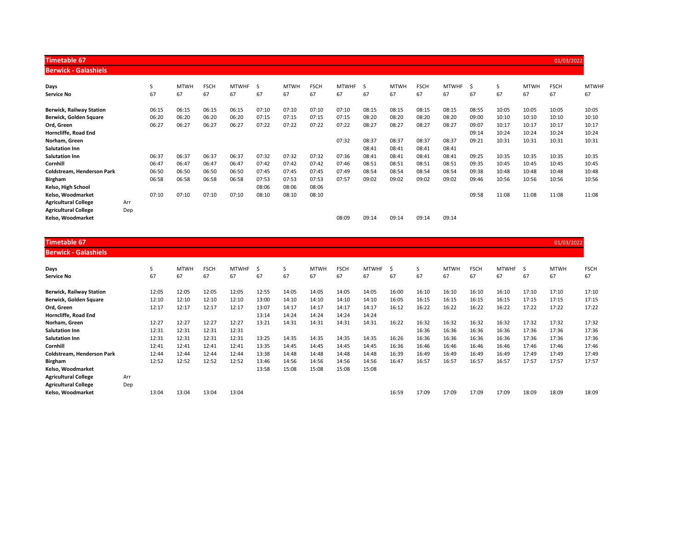| <b>Timetable 67</b>             |     |       |             |             |              |       |             |             |              |       |             |             |              |       |       |             | 01/03/2022  |              |
|---------------------------------|-----|-------|-------------|-------------|--------------|-------|-------------|-------------|--------------|-------|-------------|-------------|--------------|-------|-------|-------------|-------------|--------------|
| <b>Berwick - Galashiels</b>     |     |       |             |             |              |       |             |             |              |       |             |             |              |       |       |             |             |              |
| Days                            |     | S     | <b>MTWH</b> | <b>FSCH</b> | <b>MTWHF</b> | -S    | <b>MTWH</b> | <b>FSCH</b> | <b>MTWHF</b> | - S   | <b>MTWH</b> | <b>FSCH</b> | <b>MTWHF</b> | Ś     | S     | <b>MTWH</b> | <b>FSCH</b> | <b>MTWHF</b> |
| <b>Service No</b>               |     | 67    | 67          | 67          | 67           | 67    | 67          | 67          | 67           | 67    | 67          | 67          | 67           | 67    | 67    | 67          | 67          | 67           |
| <b>Berwick, Railway Station</b> |     | 06:15 | 06:15       | 06:15       | 06:15        | 07:10 | 07:10       | 07:10       | 07:10        | 08:15 | 08:15       | 08:15       | 08:15        | 08:55 | 10:05 | 10:05       | 10:05       | 10:05        |
| Berwick, Golden Square          |     | 06:20 | 06:20       | 06:20       | 06:20        | 07:15 | 07:15       | 07:15       | 07:15        | 08:20 | 08:20       | 08:20       | 08:20        | 09:00 | 10:10 | 10:10       | 10:10       | 10:10        |
| Ord, Green                      |     | 06:27 | 06:27       | 06:27       | 06:27        | 07:22 | 07:22       | 07:22       | 07:22        | 08:27 | 08:27       | 08:27       | 08:27        | 09:07 | 10:17 | 10:17       | 10:17       | 10:17        |
| Horncliffe, Road End            |     |       |             |             |              |       |             |             |              |       |             |             |              | 09:14 | 10:24 | 10:24       | 10:24       | 10:24        |
| Norham, Green                   |     |       |             |             |              |       |             |             | 07:32        | 08:37 | 08:37       | 08:37       | 08:37        | 09:21 | 10:31 | 10:31       | 10:31       | 10:31        |
| <b>Salutation Inn</b>           |     |       |             |             |              |       |             |             |              | 08:41 | 08:41       | 08:41       | 08:41        |       |       |             |             |              |
| <b>Salutation Inn</b>           |     | 06:37 | 06:37       | 06:37       | 06:37        | 07:32 | 07:32       | 07:32       | 07:36        | 08:41 | 08:41       | 08:41       | 08:41        | 09:25 | 10:35 | 10:35       | 10:35       | 10:35        |
| Cornhill                        |     | 06:47 | 06:47       | 06:47       | 06:47        | 07:42 | 07:42       | 07:42       | 07:46        | 08:51 | 08:51       | 08:51       | 08:51        | 09:35 | 10:45 | 10:45       | 10:45       | 10:45        |
| Coldstream, Henderson Park      |     | 06:50 | 06:50       | 06:50       | 06:50        | 07:45 | 07:45       | 07:45       | 07:49        | 08:54 | 08:54       | 08:54       | 08:54        | 09:38 | 10:48 | 10:48       | 10:48       | 10:48        |
| <b>Birgham</b>                  |     | 06:58 | 06:58       | 06:58       | 06:58        | 07:53 | 07:53       | 07:53       | 07:57        | 09:02 | 09:02       | 09:02       | 09:02        | 09:46 | 10:56 | 10:56       | 10:56       | 10:56        |
| Kelso, High School              |     |       |             |             |              | 08:06 | 08:06       | 08:06       |              |       |             |             |              |       |       |             |             |              |
| Kelso, Woodmarket               |     | 07:10 | 07:10       | 07:10       | 07:10        | 08:10 | 08:10       | 08:10       |              |       |             |             |              | 09:58 | 11:08 | 11:08       | 11:08       | 11:08        |
| <b>Agricultural College</b>     | Arr |       |             |             |              |       |             |             |              |       |             |             |              |       |       |             |             |              |
| <b>Agricultural College</b>     | Dep |       |             |             |              |       |             |             |              |       |             |             |              |       |       |             |             |              |
| Kelso, Woodmarket               |     |       |             |             |              |       |             |             | 08:09        | 09:14 | 09:14       | 09:14       | 09:14        |       |       |             |             |              |

| Timetable 67       |  |  |  |
|--------------------|--|--|--|
| بامنطعمامت بامنسمه |  |  |  |

| <b>Berwick - Galashiels</b>       |     |       |             |             |              |       |       |             |             |              |       |       |             |             |              |       |             |             |
|-----------------------------------|-----|-------|-------------|-------------|--------------|-------|-------|-------------|-------------|--------------|-------|-------|-------------|-------------|--------------|-------|-------------|-------------|
| Days                              |     | S     | <b>MTWH</b> | <b>FSCH</b> | <b>MTWHF</b> | Ŝ     | S     | <b>MTWH</b> | <b>FSCH</b> | <b>MTWHF</b> | -S    | S     | <b>MTWH</b> | <b>FSCH</b> | <b>MTWHF</b> | -S    | <b>MTWH</b> | <b>FSCH</b> |
| Service No                        |     | 67    | 67          | 67          | 67           | 67    | 67    | 67          | 67          | 67           | 67    | 67    | 67          | 67          | 67           | 67    | 67          | 67          |
| <b>Berwick, Railway Station</b>   |     | 12:05 | 12:05       | 12:05       | 12:05        | 12:55 | 14:05 | 14:05       | 14:05       | 14:05        | 16:00 | 16:10 | 16:10       | 16:10       | 16:10        | 17:10 | 17:10       | 17:10       |
| Berwick, Golden Square            |     | 12:10 | 12:10       | 12:10       | 12:10        | 13:00 | 14:10 | 14:10       | 14:10       | 14:10        | 16:05 | 16:15 | 16:15       | 16:15       | 16:15        | 17:15 | 17:15       | 17:15       |
| Ord, Green                        |     | 12:17 | 12:17       | 12:17       | 12:17        | 13:07 | 14:17 | 14:17       | 14:17       | 14:17        | 16:12 | 16:22 | 16:22       | 16:22       | 16:22        | 17:22 | 17:22       | 17:22       |
| Horncliffe, Road End              |     |       |             |             |              | 13:14 | 14:24 | 14:24       | 14:24       | 14:24        |       |       |             |             |              |       |             |             |
| Norham, Green                     |     | 12:27 | 12:27       | 12:27       | 12:27        | 13:21 | 14:31 | 14:31       | 14:31       | 14:31        | 16:22 | 16:32 | 16:32       | 16:32       | 16:32        | 17:32 | 17:32       | 17:32       |
| <b>Salutation Inn</b>             |     | 12:31 | 12:31       | 12:31       | 12:31        |       |       |             |             |              |       | 16:36 | 16:36       | 16:36       | 16:36        | 17:36 | 17:36       | 17:36       |
| <b>Salutation Inn</b>             |     | 12:31 | 12:31       | 12:31       | 12:31        | 13:25 | 14:35 | 14:35       | 14:35       | 14:35        | 16:26 | 16:36 | 16:36       | 16:36       | 16:36        | 17:36 | 17:36       | 17:36       |
| Cornhill                          |     | 12:41 | 12:41       | 12:41       | 12:41        | 13:35 | 14:45 | 14:45       | 14:45       | 14:45        | 16:36 | 16:46 | 16:46       | 16:46       | 16:46        | 17:46 | 17:46       | 17:46       |
| <b>Coldstream. Henderson Park</b> |     | 12:44 | 12:44       | 12:44       | 12:44        | 13:38 | 14:48 | 14:48       | 14:48       | 14:48        | 16:39 | 16:49 | 16:49       | 16:49       | 16:49        | 17:49 | 17:49       | 17:49       |
| <b>Birgham</b>                    |     | 12:52 | 12:52       | 12:52       | 12:52        | 13:46 | 14:56 | 14:56       | 14:56       | 14:56        | 16:47 | 16:57 | 16:57       | 16:57       | 16:57        | 17:57 | 17:57       | 17:57       |
| Kelso, Woodmarket                 |     |       |             |             |              | 13:58 | 15:08 | 15:08       | 15:08       | 15:08        |       |       |             |             |              |       |             |             |
| <b>Agricultural College</b>       | Arr |       |             |             |              |       |       |             |             |              |       |       |             |             |              |       |             |             |
| <b>Agricultural College</b>       | Dep |       |             |             |              |       |       |             |             |              |       |       |             |             |              |       |             |             |
| Kelso. Woodmarket                 |     | 13:04 | 13:04       | 13:04       | 13:04        |       |       |             |             |              | 16:59 | 17:09 | 17:09       | 17:09       | 17:09        | 18:09 | 18:09       | 18:09       |

Timetable 67 01/03/2022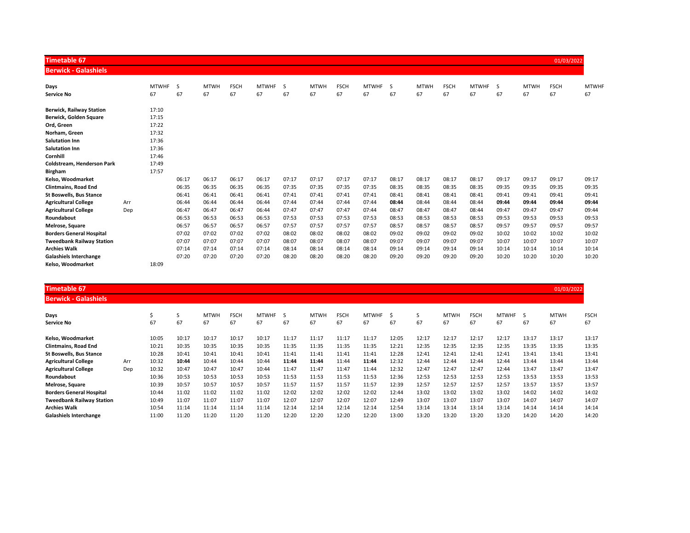| <b>Timetable 67</b>              |     |              |       |             |             |              |       |             |             |              |       |             |             |              |              |             | 01/03/2022  |              |
|----------------------------------|-----|--------------|-------|-------------|-------------|--------------|-------|-------------|-------------|--------------|-------|-------------|-------------|--------------|--------------|-------------|-------------|--------------|
| <b>Berwick - Galashiels</b>      |     |              |       |             |             |              |       |             |             |              |       |             |             |              |              |             |             |              |
| Days                             |     | <b>MTWHF</b> | -S    | <b>MTWH</b> | <b>FSCH</b> | <b>MTWHF</b> | S     | <b>MTWH</b> | <b>FSCH</b> | <b>MTWHF</b> | S     | <b>MTWH</b> | <b>FSCH</b> | <b>MTWHF</b> | <sub>S</sub> | <b>MTWH</b> | <b>FSCH</b> | <b>MTWHF</b> |
| <b>Service No</b>                |     | 67           | 67    | 67          | 67          | 67           | 67    | 67          | 67          | 67           | 67    | 67          | 67          | 67           | 67           | 67          | 67          | 67           |
| <b>Berwick, Railway Station</b>  |     | 17:10        |       |             |             |              |       |             |             |              |       |             |             |              |              |             |             |              |
| Berwick, Golden Square           |     | 17:15        |       |             |             |              |       |             |             |              |       |             |             |              |              |             |             |              |
| Ord, Green                       |     | 17:22        |       |             |             |              |       |             |             |              |       |             |             |              |              |             |             |              |
| Norham, Green                    |     | 17:32        |       |             |             |              |       |             |             |              |       |             |             |              |              |             |             |              |
| <b>Salutation Inn</b>            |     | 17:36        |       |             |             |              |       |             |             |              |       |             |             |              |              |             |             |              |
| <b>Salutation Inn</b>            |     | 17:36        |       |             |             |              |       |             |             |              |       |             |             |              |              |             |             |              |
| Cornhill                         |     | 17:46        |       |             |             |              |       |             |             |              |       |             |             |              |              |             |             |              |
| Coldstream, Henderson Park       |     | 17:49        |       |             |             |              |       |             |             |              |       |             |             |              |              |             |             |              |
| <b>Birgham</b>                   |     | 17:57        |       |             |             |              |       |             |             |              |       |             |             |              |              |             |             |              |
| Kelso, Woodmarket                |     |              | 06:17 | 06:17       | 06:17       | 06:17        | 07:17 | 07:17       | 07:17       | 07:17        | 08:17 | 08:17       | 08:17       | 08:17        | 09:17        | 09:17       | 09:17       | 09:17        |
| <b>Clintmains, Road End</b>      |     |              | 06:35 | 06:35       | 06:35       | 06:35        | 07:35 | 07:35       | 07:35       | 07:35        | 08:35 | 08:35       | 08:35       | 08:35        | 09:35        | 09:35       | 09:35       | 09:35        |
| <b>St Boswells, Bus Stance</b>   |     |              | 06:41 | 06:41       | 06:41       | 06:41        | 07:41 | 07:41       | 07:41       | 07:41        | 08:41 | 08:41       | 08:41       | 08:41        | 09:41        | 09:41       | 09:41       | 09:41        |
| <b>Agricultural College</b>      | Arr |              | 06:44 | 06:44       | 06:44       | 06:44        | 07:44 | 07:44       | 07:44       | 07:44        | 08:44 | 08:44       | 08:44       | 08:44        | 09:44        | 09:44       | 09:44       | 09:44        |
| <b>Agricultural College</b>      | Dep |              | 06:47 | 06:47       | 06:47       | 06:44        | 07:47 | 07:47       | 07:47       | 07:44        | 08:47 | 08:47       | 08:47       | 08:44        | 09:47        | 09:47       | 09:47       | 09:44        |
| Roundabout                       |     |              | 06:53 | 06:53       | 06:53       | 06:53        | 07:53 | 07:53       | 07:53       | 07:53        | 08:53 | 08:53       | 08:53       | 08:53        | 09:53        | 09:53       | 09:53       | 09:53        |
| Melrose, Square                  |     |              | 06:57 | 06:57       | 06:57       | 06:57        | 07:57 | 07:57       | 07:57       | 07:57        | 08:57 | 08:57       | 08:57       | 08:57        | 09:57        | 09:57       | 09:57       | 09:57        |
| <b>Borders General Hospital</b>  |     |              | 07:02 | 07:02       | 07:02       | 07:02        | 08:02 | 08:02       | 08:02       | 08:02        | 09:02 | 09:02       | 09:02       | 09:02        | 10:02        | 10:02       | 10:02       | 10:02        |
| <b>Tweedbank Railway Station</b> |     |              | 07:07 | 07:07       | 07:07       | 07:07        | 08:07 | 08:07       | 08:07       | 08:07        | 09:07 | 09:07       | 09:07       | 09:07        | 10:07        | 10:07       | 10:07       | 10:07        |
| <b>Archies Walk</b>              |     |              | 07:14 | 07:14       | 07:14       | 07:14        | 08:14 | 08:14       | 08:14       | 08:14        | 09:14 | 09:14       | 09:14       | 09:14        | 10:14        | 10:14       | 10:14       | 10:14        |
| <b>Galashiels Interchange</b>    |     |              | 07:20 | 07:20       | 07:20       | 07:20        | 08:20 | 08:20       | 08:20       | 08:20        | 09:20 | 09:20       | 09:20       | 09:20        | 10:20        | 10:20       | 10:20       | 10:20        |
| Kelso. Woodmarket                |     | 18:09        |       |             |             |              |       |             |             |              |       |             |             |              |              |             |             |              |

| <b>Timetable 67</b>              |     |       |       |             |             |              |       |             |             |              |       |       |             |             |              |       | 01/03/2022  |             |
|----------------------------------|-----|-------|-------|-------------|-------------|--------------|-------|-------------|-------------|--------------|-------|-------|-------------|-------------|--------------|-------|-------------|-------------|
| <b>Berwick - Galashiels</b>      |     |       |       |             |             |              |       |             |             |              |       |       |             |             |              |       |             |             |
| Days                             |     |       |       | <b>MTWH</b> | <b>FSCH</b> | <b>MTWHF</b> |       | <b>MTWH</b> | <b>FSCH</b> | <b>MTWHF</b> | S     | S     | <b>MTWH</b> | <b>FSCH</b> | <b>MTWHF</b> | -S    | <b>MTWH</b> | <b>FSCH</b> |
| <b>Service No</b>                |     | 67    | 67    | 67          | 67          | 67           | 67    | 67          | 67          | 67           | 67    | 67    | 67          | 67          | 67           | 67    | 67          | 67          |
| Kelso, Woodmarket                |     | 10:05 | 10:17 | 10:17       | 10:17       | 10:17        | 11:17 | 11:17       | 11:17       | 11:17        | 12:05 | 12:17 | 12:17       | 12:17       | 12:17        | 13:17 | 13:17       | 13:17       |
| <b>Clintmains, Road End</b>      |     | 10:21 | 10:35 | 10:35       | 10:35       | 10:35        | 11:35 | 11:35       | 11:35       | 11:35        | 12:21 | 12:35 | 12:35       | 12:35       | 12:35        | 13:35 | 13:35       | 13:35       |
| <b>St Boswells, Bus Stance</b>   |     | 10:28 | 10:41 | 10:41       | 10:41       | 10:41        | 11:41 | 11:41       | 11:41       | 11:41        | 12:28 | 12:41 | 12:41       | 12:41       | 12:41        | 13:41 | 13:41       | 13:41       |
| <b>Agricultural College</b>      | Arr | 10:32 | 10:44 | 10:44       | 10:44       | 10:44        | 11:44 | 11:44       | 11:44       | 11:44        | 12:32 | 12:44 | 12:44       | 12:44       | 12:44        | 13:44 | 13:44       | 13:44       |
| <b>Agricultural College</b>      | Dep | 10:32 | 10:47 | 10:47       | 10:47       | 10:44        | 11:47 | 11:47       | 11:47       | 11:44        | 12:32 | 12:47 | 12:47       | 12:47       | 12:44        | 13:47 | 13:47       | 13:47       |
| Roundabout                       |     | 10:36 | 10:53 | 10:53       | 10:53       | 10:53        | 11:53 | 11:53       | 11:53       | 11:53        | 12:36 | 12:53 | 12:53       | 12:53       | 12:53        | 13:53 | 13:53       | 13:53       |
| Melrose, Square                  |     | 10:39 | 10:57 | 10:57       | 10:57       | 10:57        | 11:57 | 11:57       | 11:57       | 11:57        | 12:39 | 12:57 | 12:57       | 12:57       | 12:57        | 13:57 | 13:57       | 13:57       |
| <b>Borders General Hospital</b>  |     | 10:44 | 11:02 | 11:02       | 11:02       | 11:02        | 12:02 | 12:02       | 12:02       | 12:02        | 12:44 | 13:02 | 13:02       | 13:02       | 13:02        | 14:02 | 14:02       | 14:02       |
| <b>Tweedbank Railway Station</b> |     | 10:49 | 11:07 | 11:07       | 11:07       | 11:07        | 12:07 | 12:07       | 12:07       | 12:07        | 12:49 | 13:07 | 13:07       | 13:07       | 13:07        | 14:07 | 14:07       | 14:07       |
| <b>Archies Walk</b>              |     | 10:54 | 11:14 | 11:14       | 11:14       | 11:14        | 12:14 | 12:14       | 12:14       | 12:14        | 12:54 | 13:14 | 13:14       | 13:14       | 13:14        | 14:14 | 14:14       | 14:14       |
| <b>Galashiels Interchange</b>    |     | 11:00 | 11:20 | 11:20       | 11:20       | 11:20        | 12:20 | 12:20       | 12:20       | 12:20        | 13:00 | 13:20 | 13:20       | 13:20       | 13:20        | 14:20 | 14:20       | 14:20       |
|                                  |     |       |       |             |             |              |       |             |             |              |       |       |             |             |              |       |             |             |